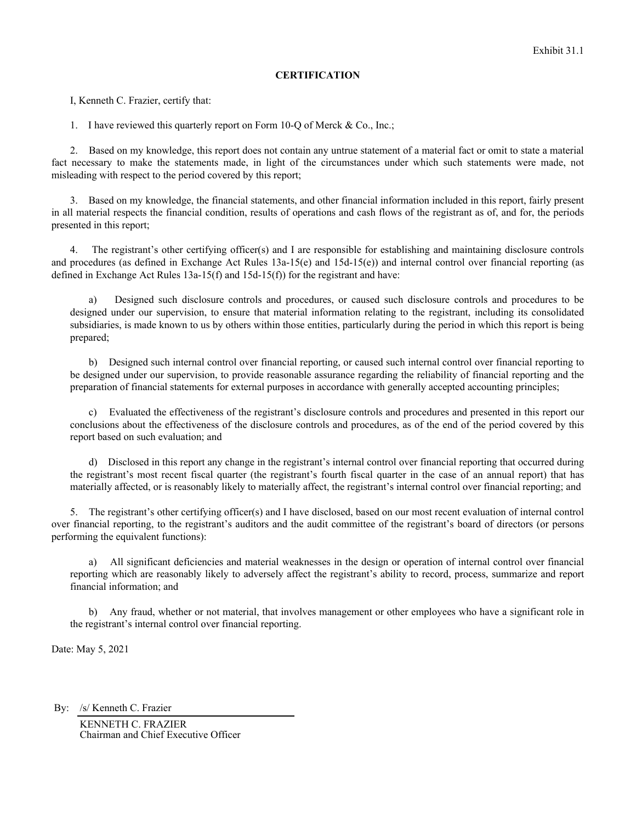## **CERTIFICATION**

I, Kenneth C. Frazier, certify that:

1. I have reviewed this quarterly report on Form 10-Q of Merck & Co., Inc.;

2. Based on my knowledge, this report does not contain any untrue statement of a material fact or omit to state a material fact necessary to make the statements made, in light of the circumstances under which such statements were made, not misleading with respect to the period covered by this report;

3. Based on my knowledge, the financial statements, and other financial information included in this report, fairly present in all material respects the financial condition, results of operations and cash flows of the registrant as of, and for, the periods presented in this report;

4. The registrant's other certifying officer(s) and I are responsible for establishing and maintaining disclosure controls and procedures (as defined in Exchange Act Rules  $13a-15(e)$  and  $15d-15(e)$ ) and internal control over financial reporting (as defined in Exchange Act Rules 13a-15(f) and 15d-15(f)) for the registrant and have:

a) Designed such disclosure controls and procedures, or caused such disclosure controls and procedures to be designed under our supervision, to ensure that material information relating to the registrant, including its consolidated subsidiaries, is made known to us by others within those entities, particularly during the period in which this report is being prepared;

b) Designed such internal control over financial reporting, or caused such internal control over financial reporting to be designed under our supervision, to provide reasonable assurance regarding the reliability of financial reporting and the preparation of financial statements for external purposes in accordance with generally accepted accounting principles;

c) Evaluated the effectiveness of the registrant's disclosure controls and procedures and presented in this report our conclusions about the effectiveness of the disclosure controls and procedures, as of the end of the period covered by this report based on such evaluation; and

d) Disclosed in this report any change in the registrant's internal control over financial reporting that occurred during the registrant's most recent fiscal quarter (the registrant's fourth fiscal quarter in the case of an annual report) that has materially affected, or is reasonably likely to materially affect, the registrant's internal control over financial reporting; and

5. The registrant's other certifying officer(s) and I have disclosed, based on our most recent evaluation of internal control over financial reporting, to the registrant's auditors and the audit committee of the registrant's board of directors (or persons performing the equivalent functions):

a) All significant deficiencies and material weaknesses in the design or operation of internal control over financial reporting which are reasonably likely to adversely affect the registrant's ability to record, process, summarize and report financial information; and

b) Any fraud, whether or not material, that involves management or other employees who have a significant role in the registrant's internal control over financial reporting.

Date: May 5, 2021

By: /s/ Kenneth C. Frazier

KENNETH C. FRAZIER Chairman and Chief Executive Officer